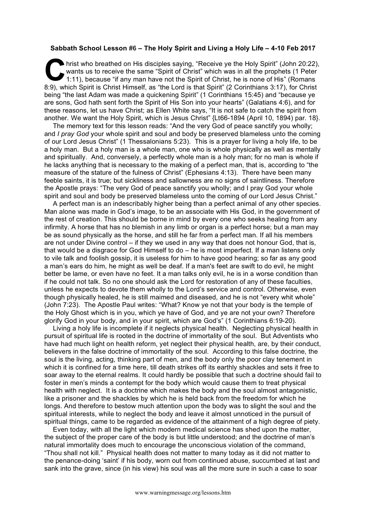## **Sabbath School Lesson #6 – The Holy Spirit and Living a Holy Life – 4-10 Feb 2017**

hrist who breathed on His disciples saying, "Receive ye the Holy Spirit" (John 20:22), wants us to receive the same "Spirit of Christ" which was in all the prophets (1 Peter 1:11), because "if any man have not the Spirit of Christ, he is none of His" (Romans 8:9), which Spirit is Christ Himself, as "the Lord is that Spirit" (2 Corinthians 3:17), for Christ Spirit is Christ Himself, as "the Lord is that Spirit" (2 Corinthians 3:17), for Christ Air Spirit is Christ Himself, as " being "the last Adam was made a quickening Spirit" (1 Corinthians 15:45) and "because ye are sons, God hath sent forth the Spirit of His Son into your hearts" (Galatians 4:6), and for these reasons, let us have Christ; as Ellen White says, "It is not safe to catch the spirit from another. We want the Holy Spirit, which is Jesus Christ" {Lt66-1894 (April 10, 1894) par. 18}.

The memory text for this lesson reads: "And the very God of peace sanctify you wholly; and *I pray God* your whole spirit and soul and body be preserved blameless unto the coming of our Lord Jesus Christ" (1 Thessalonians 5:23). This is a prayer for living a holy life, to be a holy man. But a holy man is a whole man, one who is whole physically as well as mentally and spiritually. And, conversely, a perfectly whole man is a holy man; for no man is whole if he lacks anything that is necessary to the making of a perfect man, that is, according to "the measure of the stature of the fulness of Christ" (Ephesians 4:13). There have been many feeble saints, it is true; but sickliness and sallowness are no signs of saintliness. Therefore the Apostle prays: "The very God of peace sanctify you wholly; and I pray God your whole spirit and soul and body be preserved blameless unto the coming of our Lord Jesus Christ."

A perfect man is an indescribably higher being than a perfect animal of any other species. Man alone was made in God's image, to be an associate with His God, in the government of the rest of creation. This should be borne in mind by every one who seeks healing from any infirmity. A horse that has no blemish in any limb or organ is a perfect horse; but a man may be as sound physically as the horse, and still he far from a perfect man. If all his members are not under Divine control – if they we used in any way that does not honour God, that is, that would be a disgrace for God Himself to do – he is most imperfect. If a man listens only to vile talk and foolish gossip, it is useless for him to have good hearing; so far as any good a man's ears do him, he might as well be deaf. If a man's feet are swift to do evil, he might better be lame, or even have no feet. It a man talks only evil, he is in a worse condition than if he could not talk. So no one should ask the Lord for restoration of any of these faculties, unless he expects to devote them wholly to the Lord's service and control. Otherwise, even though physically healed, he is still maimed and diseased, and he is not "every whit whole" (John 7:23). The Apostle Paul writes: "What? Know ye not that your body is the temple of the Holy Ghost which is in you, which ye have of God, and ye are not your own? Therefore glorify God in your body, and in your spirit, which are God's" (1 Corinthians 6:19-20).

Living a holy life is incomplete if it neglects physical health. Neglecting physical health in pursuit of spiritual life is rooted in the doctrine of immortality of the soul. But Adventists who have had much light on health reform, yet neglect their physical health, are, by their conduct, believers in the false doctrine of immortality of the soul. According to this false doctrine, the soul is the living, acting, thinking part of men, and the body only the poor clay tenement in which it is confined for a time here, till death strikes off its earthly shackles and sets it free to soar away to the eternal realms. It could hardly be possible that such a doctrine should fail to foster in men's minds a contempt for the body which would cause them to treat physical health with neglect. It is a doctrine which makes the body and the soul almost antagonistic, like a prisoner and the shackles by which he is held back from the freedom for which he longs. And therefore to bestow much attention upon the body was to slight the soul and the spiritual interests, while to neglect the body and leave it almost unnoticed in the pursuit of spiritual things, came to be regarded as evidence of the attainment of a high degree of piety.

Even today, with all the light which modern medical science has shed upon the matter, the subject of the proper care of the body is but little understood; and the doctrine of man's natural immortality does much to encourage the unconscious violation of the command, "Thou shall not kill." Physical health does not matter to many today as it did not matter to the penance-doing 'saint' if his body, worn out from continued abuse, succumbed at last and sank into the grave, since (in his view) his soul was all the more sure in such a case to soar